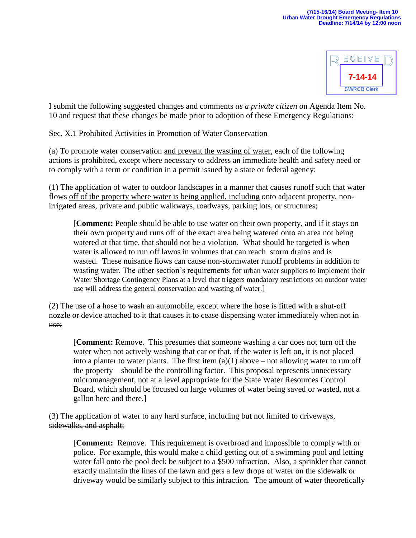

I submit the following suggested changes and comments *as a private citizen* on Agenda Item No. 10 and request that these changes be made prior to adoption of these Emergency Regulations:

Sec. X.1 Prohibited Activities in Promotion of Water Conservation

(a) To promote water conservation and prevent the wasting of water, each of the following actions is prohibited, except where necessary to address an immediate health and safety need or to comply with a term or condition in a permit issued by a state or federal agency:

(1) The application of water to outdoor landscapes in a manner that causes runoff such that water flows off of the property where water is being applied, including onto adjacent property, nonirrigated areas, private and public walkways, roadways, parking lots, or structures;

[**Comment:** People should be able to use water on their own property, and if it stays on their own property and runs off of the exact area being watered onto an area not being watered at that time, that should not be a violation. What should be targeted is when water is allowed to run off lawns in volumes that can reach storm drains and is wasted. These nuisance flows can cause non-stormwater runoff problems in addition to wasting water. The other section's requirements for urban water suppliers to implement their Water Shortage Contingency Plans at a level that triggers mandatory restrictions on outdoor water use will address the general conservation and wasting of water.]

(2) The use of a hose to wash an automobile, except where the hose is fitted with a shut-off nozzle or device attached to it that causes it to cease dispensing water immediately when not in use;

[**Comment:** Remove. This presumes that someone washing a car does not turn off the water when not actively washing that car or that, if the water is left on, it is not placed into a planter to water plants. The first item  $(a)(1)$  above – not allowing water to run off the property – should be the controlling factor. This proposal represents unnecessary micromanagement, not at a level appropriate for the State Water Resources Control Board, which should be focused on large volumes of water being saved or wasted, not a gallon here and there.]

(3) The application of water to any hard surface, including but not limited to driveways, sidewalks, and asphalt;

[**Comment:** Remove. This requirement is overbroad and impossible to comply with or police. For example, this would make a child getting out of a swimming pool and letting water fall onto the pool deck be subject to a \$500 infraction. Also, a sprinkler that cannot exactly maintain the lines of the lawn and gets a few drops of water on the sidewalk or driveway would be similarly subject to this infraction. The amount of water theoretically